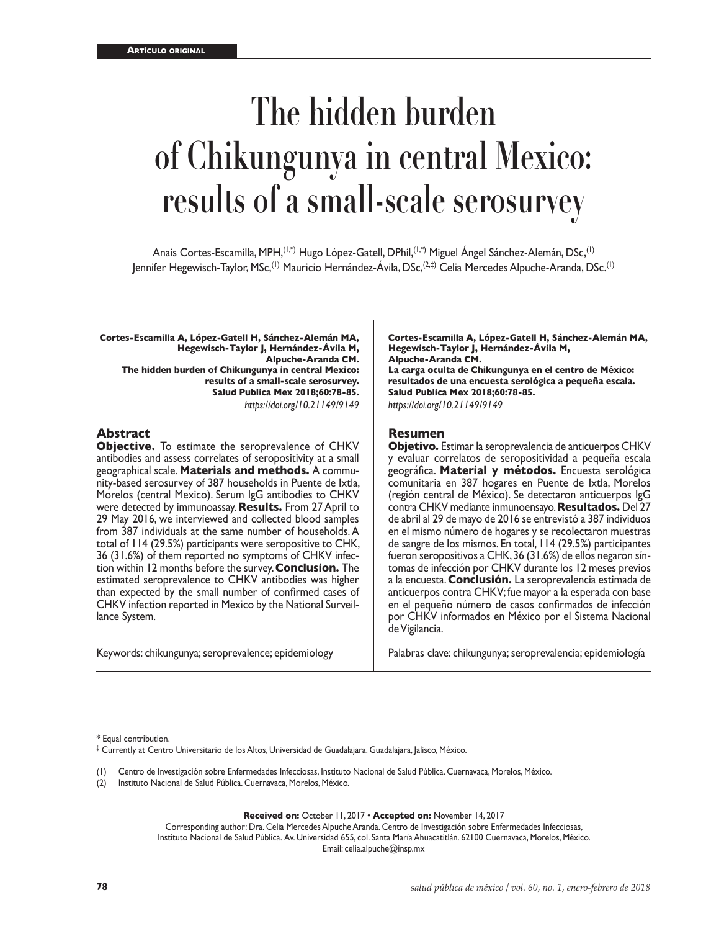# **The hidden burden of Chikungunya in central Mexico: results of a small-scale serosurvey**

Anais Cortes-Escamilla, MPH,(1,\*) Hugo López-Gatell, DPhil,(1,\*) Miguel Ángel Sánchez-Alemán, DSc,(1) Jennifer Hegewisch-Taylor, MSc,(1) Mauricio Hernández-Ávila, DSc,(2,‡) Celia Mercedes Alpuche-Aranda, DSc.(1)

**Cortes-Escamilla A, López-Gatell H, Sánchez-Alemán MA, Hegewisch-Taylor J, Hernández-Ávila M, Alpuche-Aranda CM. The hidden burden of Chikungunya in central Mexico: results of a small-scale serosurvey. Salud Publica Mex 2018;60:78-85.** *https://doi.org/10.21149/9149*

## **Abstract**

**Objective.** To estimate the seroprevalence of CHKV antibodies and assess correlates of seropositivity at a small geographical scale. **Materials and methods.** A community-based serosurvey of 387 households in Puente de Ixtla, Morelos (central Mexico). Serum IgG antibodies to CHKV were detected by immunoassay. **Results.** From 27 April to 29 May 2016, we interviewed and collected blood samples from 387 individuals at the same number of households. A total of 114 (29.5%) participants were seropositive to CHK, 36 (31.6%) of them reported no symptoms of CHKV infection within 12 months before the survey. **Conclusion.** The estimated seroprevalence to CHKV antibodies was higher than expected by the small number of confirmed cases of CHKV infection reported in Mexico by the National Surveillance System.

Keywords: chikungunya; seroprevalence; epidemiology

**Cortes-Escamilla A, López-Gatell H, Sánchez-Alemán MA, Hegewisch-Taylor J, Hernández-Ávila M, Alpuche-Aranda CM.**

**La carga oculta de Chikungunya en el centro de México: resultados de una encuesta serológica a pequeña escala. Salud Publica Mex 2018;60:78-85.**

*https://doi.org/10.21149/9149*

#### **Resumen**

**Objetivo.** Estimar la seroprevalencia de anticuerpos CHKV y evaluar correlatos de seropositividad a pequeña escala geográfica. **Material y métodos.** Encuesta serológica comunitaria en 387 hogares en Puente de Ixtla, Morelos (región central de México). Se detectaron anticuerpos IgG contra CHKV mediante inmunoensayo. **Resultados.** Del 27 de abril al 29 de mayo de 2016 se entrevistó a 387 individuos en el mismo número de hogares y se recolectaron muestras de sangre de los mismos. En total, 114 (29.5%) participantes fueron seropositivos a CHK, 36 (31.6%) de ellos negaron síntomas de infección por CHKV durante los 12 meses previos a la encuesta. **Conclusión.** La seroprevalencia estimada de anticuerpos contra CHKV; fue mayor a la esperada con base en el pequeño número de casos confirmados de infección por CHKV informados en México por el Sistema Nacional de Vigilancia.

Palabras clave: chikungunya; seroprevalencia; epidemiología

\* Equal contribution.

‡ Currently at Centro Universitario de los Altos, Universidad de Guadalajara. Guadalajara, Jalisco, México.

Centro de Investigación sobre Enfermedades Infecciosas, Instituto Nacional de Salud Pública. Cuernavaca, Morelos, México.

(2) Instituto Nacional de Salud Pública. Cuernavaca, Morelos, México.

**Received on:** October 11, 2017 • **Accepted on:** November 14, 2017

Corresponding author: Dra. Celia Mercedes Alpuche Aranda. Centro de Investigación sobre Enfermedades Infecciosas, Instituto Nacional de Salud Pública. Av. Universidad 655, col. Santa María Ahuacatitlán. 62100 Cuernavaca, Morelos, México. Email: [celia.alpuche@insp.mx](mailto:celia.alpuche@insp.mx)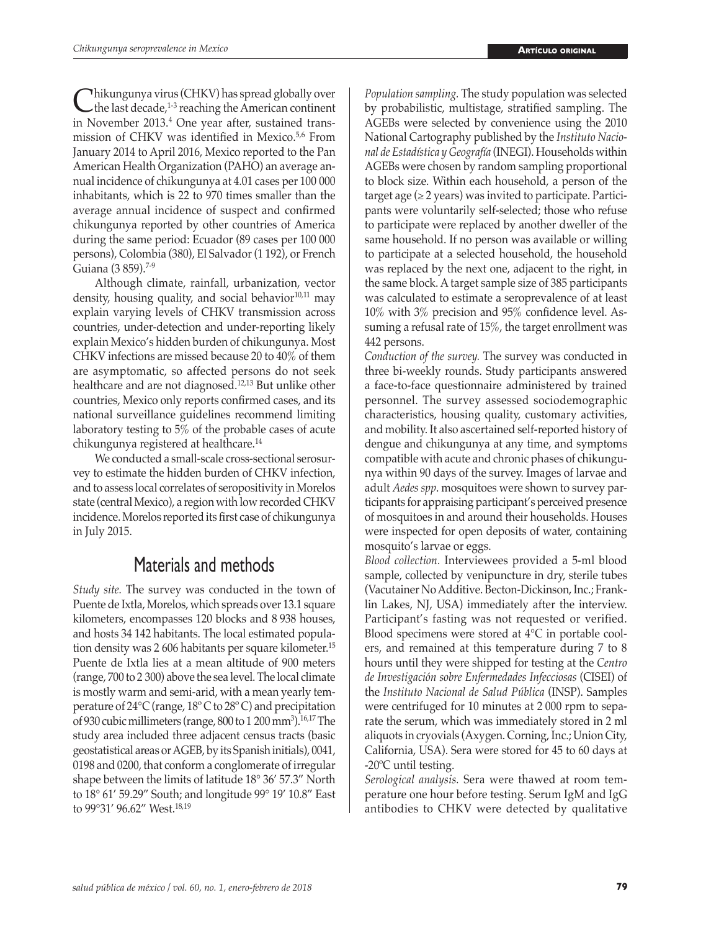$\bigcup_{n=1}^{\infty}$  this chikal virus (CHKV) has spread globally over the last decade,<sup>1-3</sup> reaching the American continent in November 2013.<sup>4</sup> One year after, sustained transmission of CHKV was identified in Mexico.<sup>5,6</sup> From January 2014 to April 2016, Mexico reported to the Pan American Health Organization (PAHO) an average annual incidence of chikungunya at 4.01 cases per 100 000 inhabitants, which is 22 to 970 times smaller than the average annual incidence of suspect and confirmed chikungunya reported by other countries of America during the same period: Ecuador (89 cases per 100 000 persons), Colombia (380), El Salvador (1 192), or French Guiana (3 859).<sup>7-9</sup>

Although climate, rainfall, urbanization, vector density, housing quality, and social behavior $10,11$  may explain varying levels of CHKV transmission across countries, under-detection and under-reporting likely explain Mexico's hidden burden of chikungunya. Most CHKV infections are missed because 20 to 40% of them are asymptomatic, so affected persons do not seek healthcare and are not diagnosed.12,13 But unlike other countries, Mexico only reports confirmed cases, and its national surveillance guidelines recommend limiting laboratory testing to 5% of the probable cases of acute chikungunya registered at healthcare.14

We conducted a small-scale cross-sectional serosurvey to estimate the hidden burden of CHKV infection, and to assess local correlates of seropositivity in Morelos state (central Mexico), a region with low recorded CHKV incidence. Morelos reported its first case of chikungunya in July 2015.

## Materials and methods

*Study site.* The survey was conducted in the town of Puente de Ixtla, Morelos, which spreads over 13.1 square kilometers, encompasses 120 blocks and 8 938 houses, and hosts 34 142 habitants. The local estimated population density was 2 606 habitants per square kilometer.15 Puente de Ixtla lies at a mean altitude of 900 meters (range, 700 to 2 300) above the sea level. The local climate is mostly warm and semi-arid, with a mean yearly temperature of 24°C (range, 18º C to 28º C) and precipitation of 930 cubic millimeters (range,  $800$  to 1 200 mm<sup>3</sup>).<sup>16,17</sup> The study area included three adjacent census tracts (basic geostatistical areas or AGEB, by its Spanish initials), 0041, 0198 and 0200, that conform a conglomerate of irregular shape between the limits of latitude 18° 36' 57.3" North to 18° 61' 59.29" South; and longitude 99° 19' 10.8" East to 99°31' 96.62" West.18,19

*Population sampling.* The study population was selected by probabilistic, multistage, stratified sampling. The AGEBs were selected by convenience using the 2010 National Cartography published by the *Instituto Nacional de Estadística y Geografía* (INEGI). Households within AGEBs were chosen by random sampling proportional to block size. Within each household, a person of the target age  $(\geq 2$  years) was invited to participate. Participants were voluntarily self-selected; those who refuse to participate were replaced by another dweller of the same household. If no person was available or willing to participate at a selected household, the household was replaced by the next one, adjacent to the right, in the same block. A target sample size of 385 participants was calculated to estimate a seroprevalence of at least 10% with 3% precision and 95% confidence level. Assuming a refusal rate of 15%, the target enrollment was 442 persons.

*Conduction of the survey.* The survey was conducted in three bi-weekly rounds. Study participants answered a face-to-face questionnaire administered by trained personnel. The survey assessed sociodemographic characteristics, housing quality, customary activities, and mobility. It also ascertained self-reported history of dengue and chikungunya at any time, and symptoms compatible with acute and chronic phases of chikungunya within 90 days of the survey. Images of larvae and adult *Aedes spp*. mosquitoes were shown to survey participants for appraising participant's perceived presence of mosquitoes in and around their households. Houses were inspected for open deposits of water, containing mosquito's larvae or eggs.

*Blood collection.* Interviewees provided a 5-ml blood sample, collected by venipuncture in dry, sterile tubes (Vacutainer No Additive. Becton-Dickinson, Inc.; Franklin Lakes, NJ, USA) immediately after the interview. Participant's fasting was not requested or verified. Blood specimens were stored at 4°C in portable coolers, and remained at this temperature during 7 to 8 hours until they were shipped for testing at the *Centro de Investigación sobre Enfermedades Infecciosas* (CISEI) of the *Instituto Nacional de Salud Pública* (INSP). Samples were centrifuged for 10 minutes at 2 000 rpm to separate the serum, which was immediately stored in 2 ml aliquots in cryovials (Axygen. Corning, Inc.; Union City, California, USA). Sera were stored for 45 to 60 days at -20ºC until testing.

*Serological analysis.* Sera were thawed at room temperature one hour before testing. Serum IgM and IgG antibodies to CHKV were detected by qualitative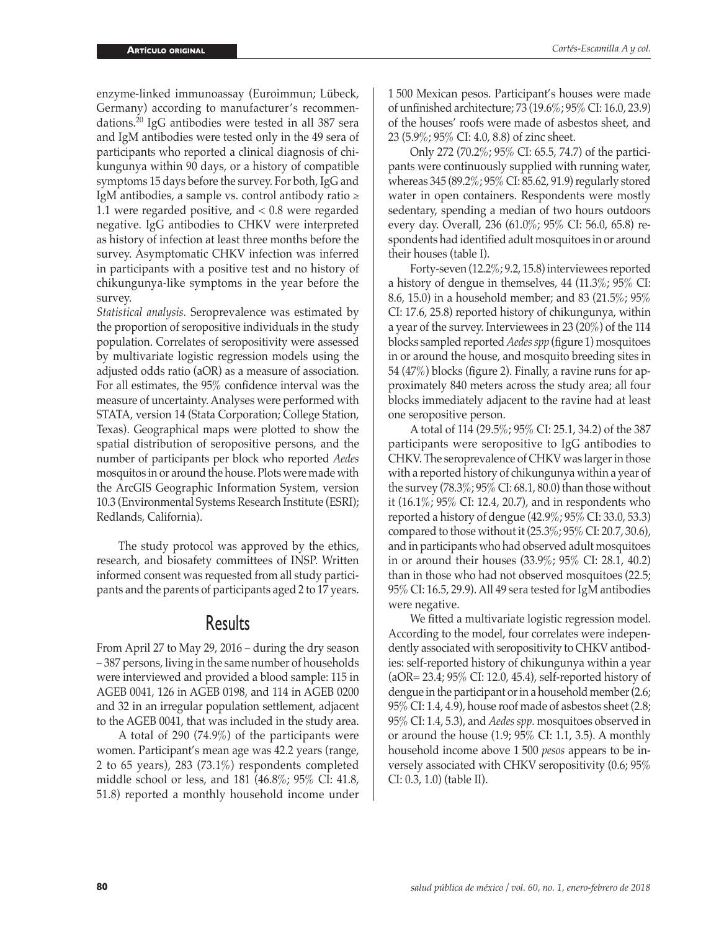enzyme-linked immunoassay (Euroimmun; Lübeck, Germany) according to manufacturer's recommendations.<sup>20</sup> IgG antibodies were tested in all 387 sera and IgM antibodies were tested only in the 49 sera of participants who reported a clinical diagnosis of chikungunya within 90 days, or a history of compatible symptoms 15 days before the survey. For both, IgG and IgM antibodies, a sample vs. control antibody ratio ≥ 1.1 were regarded positive, and < 0.8 were regarded negative. IgG antibodies to CHKV were interpreted as history of infection at least three months before the survey. Asymptomatic CHKV infection was inferred in participants with a positive test and no history of chikungunya-like symptoms in the year before the survey.

*Statistical analysis.* Seroprevalence was estimated by the proportion of seropositive individuals in the study population. Correlates of seropositivity were assessed by multivariate logistic regression models using the adjusted odds ratio (aOR) as a measure of association. For all estimates, the 95% confidence interval was the measure of uncertainty. Analyses were performed with STATA, version 14 (Stata Corporation; College Station, Texas). Geographical maps were plotted to show the spatial distribution of seropositive persons, and the number of participants per block who reported *Aedes* mosquitos in or around the house. Plots were made with the ArcGIS Geographic Information System, version 10.3 (Environmental Systems Research Institute (ESRI); Redlands, California).

The study protocol was approved by the ethics, research, and biosafety committees of INSP. Written informed consent was requested from all study participants and the parents of participants aged 2 to 17 years.

## Results

From April 27 to May 29, 2016 – during the dry season – 387 persons, living in the same number of households were interviewed and provided a blood sample: 115 in AGEB 0041, 126 in AGEB 0198, and 114 in AGEB 0200 and 32 in an irregular population settlement, adjacent to the AGEB 0041, that was included in the study area.

A total of 290 (74.9%) of the participants were women. Participant's mean age was 42.2 years (range, 2 to 65 years), 283 (73.1%) respondents completed middle school or less, and 181 (46.8%; 95% CI: 41.8, 51.8) reported a monthly household income under 1 500 Mexican pesos. Participant's houses were made of unfinished architecture; 73 (19.6%; 95% CI: 16.0, 23.9) of the houses' roofs were made of asbestos sheet, and 23 (5.9%; 95% CI: 4.0, 8.8) of zinc sheet.

Only 272 (70.2%; 95% CI: 65.5, 74.7) of the participants were continuously supplied with running water, whereas 345 (89.2%; 95% CI: 85.62, 91.9) regularly stored water in open containers. Respondents were mostly sedentary, spending a median of two hours outdoors every day. Overall, 236 (61.0%; 95% CI: 56.0, 65.8) respondents had identified adult mosquitoes in or around their houses (table I).

Forty-seven (12.2%; 9.2, 15.8) interviewees reported a history of dengue in themselves, 44 (11.3%; 95% CI: 8.6, 15.0) in a household member; and 83 (21.5%; 95% CI: 17.6, 25.8) reported history of chikungunya, within a year of the survey. Interviewees in 23 (20%) of the 114 blocks sampled reported *Aedes spp* (figure 1) mosquitoes in or around the house, and mosquito breeding sites in 54 (47%) blocks (figure 2). Finally, a ravine runs for approximately 840 meters across the study area; all four blocks immediately adjacent to the ravine had at least one seropositive person.

A total of 114 (29.5%; 95% CI: 25.1, 34.2) of the 387 participants were seropositive to IgG antibodies to CHKV. The seroprevalence of CHKV was larger in those with a reported history of chikungunya within a year of the survey (78.3%; 95% CI: 68.1, 80.0) than those without it (16.1%; 95% CI: 12.4, 20.7), and in respondents who reported a history of dengue (42.9%; 95% CI: 33.0, 53.3) compared to those without it (25.3%; 95% CI: 20.7, 30.6), and in participants who had observed adult mosquitoes in or around their houses (33.9%; 95% CI: 28.1, 40.2) than in those who had not observed mosquitoes (22.5; 95% CI: 16.5, 29.9). All 49 sera tested for IgM antibodies were negative.

We fitted a multivariate logistic regression model. According to the model, four correlates were independently associated with seropositivity to CHKV antibodies: self-reported history of chikungunya within a year (aOR= 23.4; 95% CI: 12.0, 45.4), self-reported history of dengue in the participant or in a household member (2.6; 95% CI: 1.4, 4.9), house roof made of asbestos sheet (2.8; 95% CI: 1.4, 5.3), and *Aedes spp.* mosquitoes observed in or around the house (1.9; 95% CI: 1.1, 3.5). A monthly household income above 1 500 *pesos* appears to be inversely associated with CHKV seropositivity (0.6; 95% CI: 0.3, 1.0) (table II).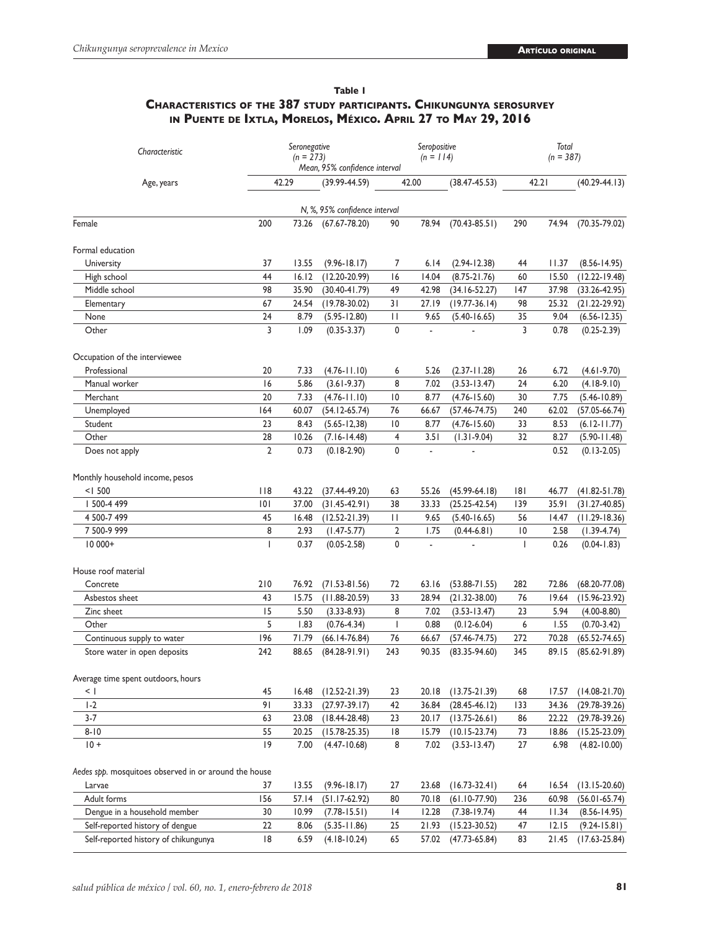## **Table 1 Characteristics of the 387 study participants. Chikungunya serosurvey in Puente de Ixtla, Morelos, México. April 27 to May 29, 2016**

| Characteristic                                        | Seronegative<br>$(n = 273)$<br>Mean, 95% confidence interval |       |                     | Seropositive<br>$(n = 114)$ |       |                   | Total<br>$(n = 387)$ |       |                   |  |
|-------------------------------------------------------|--------------------------------------------------------------|-------|---------------------|-----------------------------|-------|-------------------|----------------------|-------|-------------------|--|
| Age, years                                            | 42.29                                                        |       | $(39.99 - 44.59)$   | 42.00                       |       | $(38.47 - 45.53)$ | 42.21                |       | $(40.29 - 44.13)$ |  |
| N, %, 95% confidence interval                         |                                                              |       |                     |                             |       |                   |                      |       |                   |  |
| Female                                                | 200                                                          |       | 73.26 (67.67-78.20) | 90                          | 78.94 | $(70.43 - 85.51)$ | 290                  | 74.94 | $(70.35 - 79.02)$ |  |
|                                                       |                                                              |       |                     |                             |       |                   |                      |       |                   |  |
| Formal education                                      |                                                              |       |                     |                             |       |                   |                      |       |                   |  |
| University                                            | 37                                                           | 13.55 | $(9.96 - 18.17)$    | 7                           | 6.14  | $(2.94 - 12.38)$  | 44                   | 11.37 | $(8.56 - 14.95)$  |  |
| High school                                           | 44                                                           | 16.12 | $(12.20 - 20.99)$   | 16                          | 14.04 | $(8.75 - 21.76)$  | 60                   | 15.50 | $(12.22 - 19.48)$ |  |
| Middle school                                         | 98                                                           | 35.90 | $(30.40 - 41.79)$   | 49                          | 42.98 | $(34.16 - 52.27)$ | 147                  | 37.98 | $(33.26 - 42.95)$ |  |
| Elementary                                            | 67                                                           | 24.54 | $(19.78 - 30.02)$   | 31                          | 27.19 | $(19.77-36.14)$   | 98                   | 25.32 | $(21.22 - 29.92)$ |  |
| None                                                  | 24                                                           | 8.79  | $(5.95 - 12.80)$    | П                           | 9.65  | $(5.40 - 16.65)$  | 35                   | 9.04  | $(6.56 - 12.35)$  |  |
| Other                                                 | 3                                                            | 1.09  | $(0.35 - 3.37)$     | 0                           | ä,    |                   | 3                    | 0.78  | $(0.25 - 2.39)$   |  |
| Occupation of the interviewee                         |                                                              |       |                     |                             |       |                   |                      |       |                   |  |
| Professional                                          | 20                                                           | 7.33  | $(4.76 - 11.10)$    | 6                           | 5.26  | $(2.37 - 11.28)$  | 26                   | 6.72  | $(4.61 - 9.70)$   |  |
| Manual worker                                         | 16                                                           | 5.86  | $(3.61 - 9.37)$     | 8                           | 7.02  | $(3.53 - 13.47)$  | 24                   | 6.20  | $(4.18-9.10)$     |  |
| Merchant                                              | 20                                                           | 7.33  | $(4.76 - 11.10)$    | 10                          | 8.77  | $(4.76 - 15.60)$  | 30                   | 7.75  | $(5.46 - 10.89)$  |  |
| Unemployed                                            | 164                                                          | 60.07 | $(54.12 - 65.74)$   | 76                          | 66.67 | $(57.46 - 74.75)$ | 240                  | 62.02 | $(57.05 - 66.74)$ |  |
| Student                                               | 23                                                           | 8.43  | $(5.65 - 12, 38)$   | $\overline{10}$             | 8.77  | $(4.76 - 15.60)$  | 33                   | 8.53  | $(6.12 - 11.77)$  |  |
| Other                                                 | 28                                                           | 10.26 | $(7.16 - 14.48)$    | 4                           | 3.51  | $(1.31 - 9.04)$   | 32                   | 8.27  | $(5.90 - 11.48)$  |  |
| Does not apply                                        | $\overline{2}$                                               | 0.73  | $(0.18-2.90)$       | 0                           | ä,    |                   |                      | 0.52  | $(0.13 - 2.05)$   |  |
| Monthly household income, pesos                       |                                                              |       |                     |                             |       |                   |                      |       |                   |  |
| < 1500                                                | $ $ $ $ $ $                                                  | 43.22 | $(37.44 - 49.20)$   | 63                          | 55.26 | $(45.99-64.18)$   | 181                  | 46.77 | $(41.82 - 51.78)$ |  |
| 500-4 499                                             | 0                                                            | 37.00 | $(31.45 - 42.91)$   | 38                          | 33.33 | $(25.25 - 42.54)$ | 139                  | 35.91 | $(31.27 - 40.85)$ |  |
| 4 500-7 499                                           | 45                                                           | 16.48 | $(12.52 - 21.39)$   | П                           | 9.65  | $(5.40 - 16.65)$  | 56                   | 14.47 | $(11.29 - 18.36)$ |  |
| 7 500-9 999                                           | 8                                                            | 2.93  | $(1.47 - 5.77)$     | $\overline{2}$              | 1.75  | $(0.44 - 6.81)$   | $\overline{10}$      | 2.58  | $(1.39 - 4.74)$   |  |
| $10000+$                                              | $\overline{1}$                                               | 0.37  | $(0.05 - 2.58)$     | $\mathbf 0$                 |       |                   | $\mathbf{I}$         | 0.26  | $(0.04 - 1.83)$   |  |
| House roof material                                   |                                                              |       |                     |                             |       |                   |                      |       |                   |  |
| Concrete                                              | 210                                                          | 76.92 | $(71.53 - 81.56)$   | 72                          | 63.16 | $(53.88 - 71.55)$ | 282                  | 72.86 | $(68.20 - 77.08)$ |  |
| Asbestos sheet                                        | 43                                                           | 15.75 | $(11.88 - 20.59)$   | 33                          | 28.94 | $(21.32 - 38.00)$ | 76                   | 19.64 | $(15.96 - 23.92)$ |  |
| Zinc sheet                                            | 15                                                           | 5.50  | $(3.33 - 8.93)$     | 8                           | 7.02  | $(3.53 - 13.47)$  | 23                   | 5.94  | $(4.00 - 8.80)$   |  |
| Other                                                 | 5                                                            | 1.83  | $(0.76 - 4.34)$     | $\mathbf{I}$                | 0.88  | $(0.12 - 6.04)$   | 6                    | 1.55  | $(0.70 - 3.42)$   |  |
| Continuous supply to water                            | 196                                                          | 71.79 | $(66.14 - 76.84)$   | 76                          | 66.67 | $(57.46 - 74.75)$ | 272                  | 70.28 | $(65.52 - 74.65)$ |  |
| Store water in open deposits                          | 242                                                          | 88.65 | $(84.28 - 91.91)$   | 243                         | 90.35 | $(83.35 - 94.60)$ | 345                  | 89.15 | $(85.62 - 91.89)$ |  |
| Average time spent outdoors, hours                    |                                                              |       |                     |                             |       |                   |                      |       |                   |  |
| $\leq$ 1                                              | 45                                                           | 16.48 | $(12.52 - 21.39)$   | 23                          | 20.18 | $(13.75 - 21.39)$ | 68                   | 17.57 | $(14.08 - 21.70)$ |  |
| $1-2$                                                 | 91                                                           | 33.33 | $(27.97-39.17)$     | 42                          | 36.84 | $(28.45 - 46.12)$ | 133                  | 34.36 | $(29.78-39.26)$   |  |
| $3-7$                                                 | 63                                                           | 23.08 | $(18.44 - 28.48)$   | 23                          | 20.17 | $(13.75 - 26.61)$ | 86                   | 22.22 | $(29.78-39.26)$   |  |
| $8 - 10$                                              | 55                                                           | 20.25 | $(15.78 - 25.35)$   | 8                           | 15.79 | $(10.15 - 23.74)$ | 73                   | 18.86 | $(15.25 - 23.09)$ |  |
| $10+$                                                 | 19                                                           | 7.00  | $(4.47 - 10.68)$    | 8                           | 7.02  | $(3.53 - 13.47)$  | 27                   | 6.98  | $(4.82 - 10.00)$  |  |
| Aedes spp. mosquitoes observed in or around the house |                                                              |       |                     |                             |       |                   |                      |       |                   |  |
| Larvae                                                | 37                                                           | 13.55 | $(9.96 - 18.17)$    | 27                          | 23.68 | $(16.73 - 32.41)$ | 64                   | 16.54 | $(13.15 - 20.60)$ |  |
| Adult forms                                           | 156                                                          | 57.14 | $(51.17-62.92)$     | 80                          | 70.18 | $(61.10-77.90)$   | 236                  | 60.98 | $(56.01 - 65.74)$ |  |
| Dengue in a household member                          | 30                                                           | 10.99 | $(7.78 - 15.51)$    | 14                          | 12.28 | $(7.38 - 19.74)$  | 44                   | 11.34 | $(8.56 - 14.95)$  |  |
| Self-reported history of dengue                       | 22                                                           | 8.06  | $(5.35 - 11.86)$    | 25                          | 21.93 | $(15.23 - 30.52)$ | 47                   | 12.15 | $(9.24 - 15.81)$  |  |
| Self-reported history of chikungunya                  | 18                                                           | 6.59  | $(4.18-10.24)$      | 65                          | 57.02 | $(47.73 - 65.84)$ | 83                   | 21.45 | $(17.63 - 25.84)$ |  |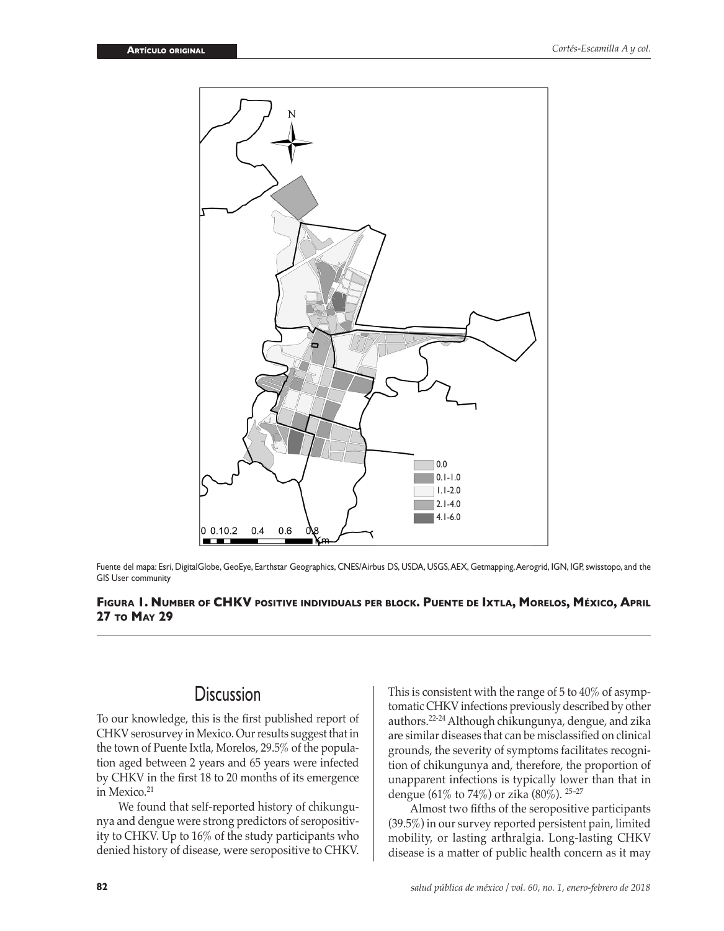

Fuente del mapa: Esri, DigitalGlobe, GeoEye, Earthstar Geographics, CNES/Airbus DS, USDA, USGS, AEX, Getmapping, Aerogrid, IGN, IGP, swisstopo, and the GIS User community

## **Figura 1. Number of CHKV positive individuals per block. Puente de Ixtla, Morelos, México, April 27 to May 29**

## **Discussion**

To our knowledge, this is the first published report of CHKV serosurvey in Mexico. Our results suggest that in the town of Puente Ixtla, Morelos, 29.5% of the population aged between 2 years and 65 years were infected by CHKV in the first 18 to 20 months of its emergence in Mexico.<sup>21</sup>

We found that self-reported history of chikungunya and dengue were strong predictors of seropositivity to CHKV. Up to 16% of the study participants who denied history of disease, were seropositive to CHKV. This is consistent with the range of 5 to 40% of asymptomatic CHKV infections previously described by other authors.22-24 Although chikungunya, dengue, and zika are similar diseases that can be misclassified on clinical grounds, the severity of symptoms facilitates recognition of chikungunya and, therefore, the proportion of unapparent infections is typically lower than that in dengue (61% to 74%) or zika (80%). 25–27

Almost two fifths of the seropositive participants (39.5%) in our survey reported persistent pain, limited mobility, or lasting arthralgia. Long-lasting CHKV disease is a matter of public health concern as it may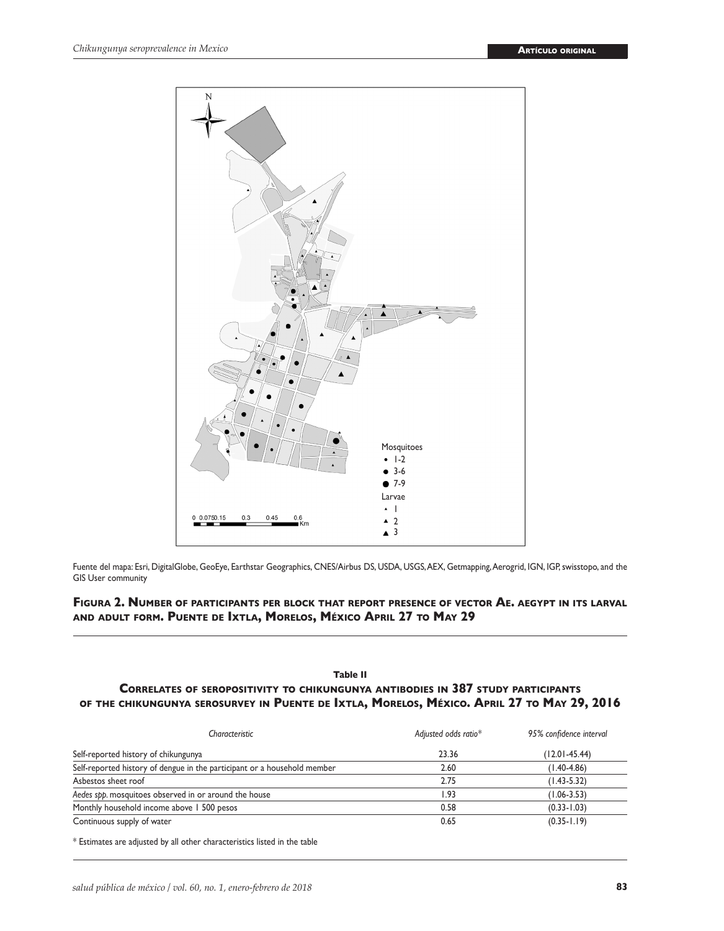

Fuente del mapa: Esri, DigitalGlobe, GeoEye, Earthstar Geographics, CNES/Airbus DS, USDA, USGS, AEX, Getmapping, Aerogrid, IGN, IGP, swisstopo, and the GIS User community

## **Figura 2. Number of participants per block that report presence of vector Ae. aegypt in its larval and adult form. Puente de Ixtla, Morelos, México April 27 to May 29**

## **Table II Correlates of seropositivity to chikungunya antibodies in 387 study participants of the chikungunya serosurvey in Puente de Ixtla, Morelos, México. April 27 to May 29, 2016**

| Characteristic                                                           | Adjusted odds ratio* | 95% confidence interval |  |  |
|--------------------------------------------------------------------------|----------------------|-------------------------|--|--|
| Self-reported history of chikungunya                                     | 23.36                | $(12.01 - 45.44)$       |  |  |
| Self-reported history of dengue in the participant or a household member | 2.60                 | $(1.40 - 4.86)$         |  |  |
| Asbestos sheet roof                                                      | 2.75                 | $(1.43 - 5.32)$         |  |  |
| Aedes spp. mosquitoes observed in or around the house                    | l.93                 | $(1.06 - 3.53)$         |  |  |
| Monthly household income above 1 500 pesos                               | 0.58                 | $(0.33 - 1.03)$         |  |  |
| Continuous supply of water                                               | 0.65                 | $(0.35 - 1.19)$         |  |  |

\* Estimates are adjusted by all other characteristics listed in the table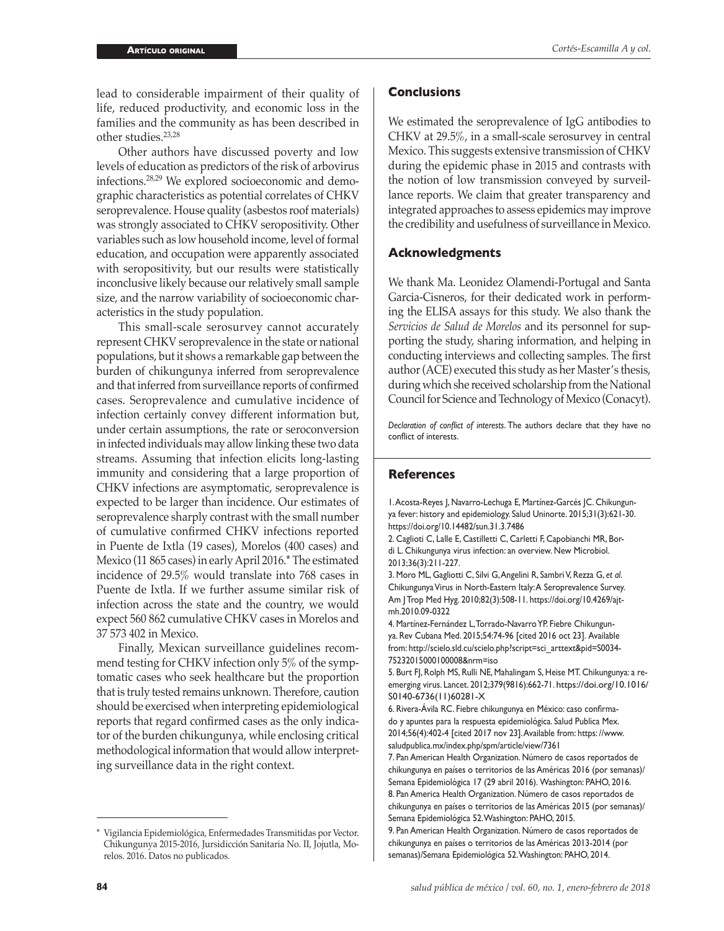lead to considerable impairment of their quality of life, reduced productivity, and economic loss in the families and the community as has been described in other studies.23,28

Other authors have discussed poverty and low levels of education as predictors of the risk of arbovirus infections.28,29 We explored socioeconomic and demographic characteristics as potential correlates of CHKV seroprevalence. House quality (asbestos roof materials) was strongly associated to CHKV seropositivity. Other variables such as low household income, level of formal education, and occupation were apparently associated with seropositivity, but our results were statistically inconclusive likely because our relatively small sample size, and the narrow variability of socioeconomic characteristics in the study population.

This small-scale serosurvey cannot accurately represent CHKV seroprevalence in the state or national populations, but it shows a remarkable gap between the burden of chikungunya inferred from seroprevalence and that inferred from surveillance reports of confirmed cases. Seroprevalence and cumulative incidence of infection certainly convey different information but, under certain assumptions, the rate or seroconversion in infected individuals may allow linking these two data streams. Assuming that infection elicits long-lasting immunity and considering that a large proportion of CHKV infections are asymptomatic, seroprevalence is expected to be larger than incidence. Our estimates of seroprevalence sharply contrast with the small number of cumulative confirmed CHKV infections reported in Puente de Ixtla (19 cases), Morelos (400 cases) and Mexico (11 865 cases) in early April 2016.\* The estimated incidence of 29.5% would translate into 768 cases in Puente de Ixtla. If we further assume similar risk of infection across the state and the country, we would expect 560 862 cumulative CHKV cases in Morelos and 37 573 402 in Mexico.

Finally, Mexican surveillance guidelines recommend testing for CHKV infection only 5% of the symptomatic cases who seek healthcare but the proportion that is truly tested remains unknown. Therefore, caution should be exercised when interpreting epidemiological reports that regard confirmed cases as the only indicator of the burden chikungunya, while enclosing critical methodological information that would allow interpreting surveillance data in the right context.

### **Conclusions**

We estimated the seroprevalence of IgG antibodies to CHKV at 29.5%, in a small-scale serosurvey in central Mexico. This suggests extensive transmission of CHKV during the epidemic phase in 2015 and contrasts with the notion of low transmission conveyed by surveillance reports. We claim that greater transparency and integrated approaches to assess epidemics may improve the credibility and usefulness of surveillance in Mexico.

### **Acknowledgments**

We thank Ma. Leonidez Olamendi-Portugal and Santa Garcia-Cisneros, for their dedicated work in performing the ELISA assays for this study. We also thank the *Servicios de Salud de Morelos* and its personnel for supporting the study, sharing information, and helping in conducting interviews and collecting samples. The first author (ACE) executed this study as her Master's thesis, during which she received scholarship from the National Council for Science and Technology of Mexico (Conacyt).

*Declaration of conflict of interests*. The authors declare that they have no conflict of interests.

## **References**

1. Acosta-Reyes J, Navarro-Lechuga E, Martínez-Garcés JC. Chikungunya fever: history and epidemiology. Salud Uninorte. 2015;31(3):621-30. https://doi.org/10.14482/sun.31.3.7486

2. Caglioti C, Lalle E, Castilletti C, Carletti F, Capobianchi MR, Bordi L. Chikungunya virus infection: an overview. New Microbiol. 2013;36(3):211-227.

3. Moro ML, Gagliotti C, Silvi G, Angelini R, Sambri V, Rezza G, *et al*. Chikungunya Virus in North-Eastern Italy: A Seroprevalence Survey. Am J Trop Med Hyg. 2010;82(3):508-11. https://doi.org/10.4269/ajtmh.2010.09-0322

4. Martínez-Fernández L, Torrado-Navarro YP. Fiebre Chikungunya. Rev Cubana Med. 2015;54:74-96 [cited 2016 oct 23]. Available from: http://scielo.sld.cu/scielo.php?script=sci\_arttext&pid=S0034- 75232015000100008&nrm=iso

5. Burt FJ, Rolph MS, Rulli NE, Mahalingam S, Heise MT. Chikungunya: a reemerging virus. Lancet. 2012;379(9816):662-71. [https://doi.org/10.1016/](https://doi.org/10.1016/S0140-6736(11)60281-X) [S0140-6736\(11\)60281-X](https://doi.org/10.1016/S0140-6736(11)60281-X)

6. Rivera-Ávila RC. Fiebre chikungunya en México: caso confirmado y apuntes para la respuesta epidemiológica. Salud Publica Mex. 2014;56(4):402-4 [cited 2017 nov 23]. Available from: https: //www. saludpublica.mx/index.php/spm/article/view/7361

7. Pan American Health Organization. Número de casos reportados de chikungunya en países o territorios de las Américas 2016 (por semanas)/ Semana Epidemiológica 17 (29 abril 2016). Washington: PAHO, 2016. 8. Pan America Health Organization. Número de casos reportados de chikungunya en países o territorios de las Américas 2015 (por semanas)/ Semana Epidemiológica 52. Washington: PAHO, 2015.

9. Pan American Health Organization. Número de casos reportados de chikungunya en países o territorios de las Américas 2013-2014 (por semanas)/Semana Epidemiológica 52. Washington: PAHO, 2014.

<sup>\*</sup> Vigilancia Epidemiológica, Enfermedades Transmitidas por Vector. Chikungunya 2015-2016, Jursidicción Sanitaria No. II, Jojutla, Morelos. 2016. Datos no publicados.